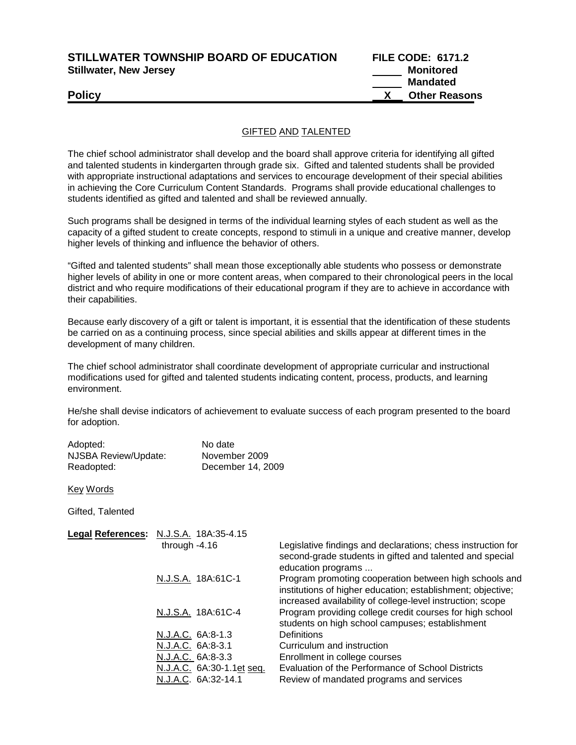**STILLWATER TOWNSHIP BOARD OF EDUCATION FILE CODE: 6171.2 Stillwater, New Jersey Monitored Accounting Stillwater, New Jersey Monitored** 

 **Mandated Policy X Other Reasons**

## GIFTED AND TALENTED

The chief school administrator shall develop and the board shall approve criteria for identifying all gifted and talented students in kindergarten through grade six. Gifted and talented students shall be provided with appropriate instructional adaptations and services to encourage development of their special abilities in achieving the Core Curriculum Content Standards. Programs shall provide educational challenges to students identified as gifted and talented and shall be reviewed annually.

Such programs shall be designed in terms of the individual learning styles of each student as well as the capacity of a gifted student to create concepts, respond to stimuli in a unique and creative manner, develop higher levels of thinking and influence the behavior of others.

"Gifted and talented students" shall mean those exceptionally able students who possess or demonstrate higher levels of ability in one or more content areas, when compared to their chronological peers in the local district and who require modifications of their educational program if they are to achieve in accordance with their capabilities.

Because early discovery of a gift or talent is important, it is essential that the identification of these students be carried on as a continuing process, since special abilities and skills appear at different times in the development of many children.

The chief school administrator shall coordinate development of appropriate curricular and instructional modifications used for gifted and talented students indicating content, process, products, and learning environment.

He/she shall devise indicators of achievement to evaluate success of each program presented to the board for adoption.

| Adopted:             | No date           |
|----------------------|-------------------|
| NJSBA Review/Update: | November 2009     |
| Readopted:           | December 14, 2009 |

Key Words

Gifted, Talented

| Legal References: N.J.S.A. 18A:35-4.15 |                                                                                                                                                                                     |
|----------------------------------------|-------------------------------------------------------------------------------------------------------------------------------------------------------------------------------------|
| through $-4.16$                        | Legislative findings and declarations; chess instruction for<br>second-grade students in gifted and talented and special<br>education programs                                      |
| N.J.S.A. 18A:61C-1                     | Program promoting cooperation between high schools and<br>institutions of higher education; establishment; objective;<br>increased availability of college-level instruction; scope |
| N.J.S.A. 18A:61C-4                     | Program providing college credit courses for high school<br>students on high school campuses; establishment                                                                         |
| N.J.A.C. 6A:8-1.3                      | Definitions                                                                                                                                                                         |
| N.J.A.C. 6A:8-3.1                      | Curriculum and instruction                                                                                                                                                          |
| N.J.A.C. 6A:8-3.3                      | Enrollment in college courses                                                                                                                                                       |
| N.J.A.C. 6A:30-1.1et seq.              | Evaluation of the Performance of School Districts                                                                                                                                   |
| N.J.A.C. 6A:32-14.1                    | Review of mandated programs and services                                                                                                                                            |